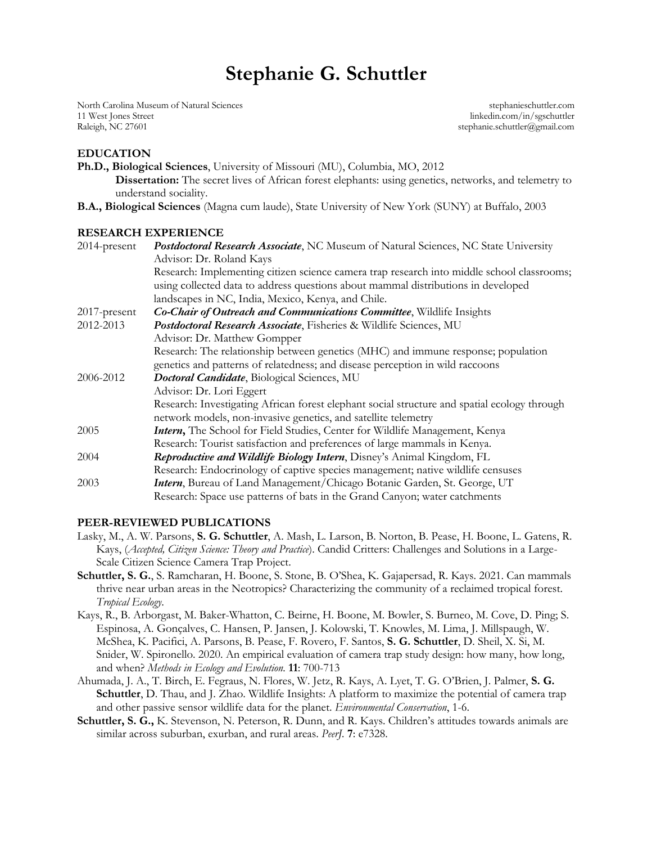# **Stephanie G. Schuttler**

North Carolina Museum of Natural Sciences stephanieschuttler.com 11 West Jones Street linkedin.com/in/sgschuttler Raleigh, NC 27601 stephanic.schuttler@gmail.com

#### **EDUCATION**

**Ph.D., Biological Sciences**, University of Missouri (MU), Columbia, MO, 2012 **Dissertation:** The secret lives of African forest elephants: using genetics, networks, and telemetry to understand sociality.

**B.A., Biological Sciences** (Magna cum laude), State University of New York (SUNY) at Buffalo, 2003

#### **RESEARCH EXPERIENCE**

| $2014$ -present | <b>Postdoctoral Research Associate, NC Museum of Natural Sciences, NC State University</b>   |
|-----------------|----------------------------------------------------------------------------------------------|
|                 | Advisor: Dr. Roland Kays                                                                     |
|                 | Research: Implementing citizen science camera trap research into middle school classrooms;   |
|                 | using collected data to address questions about mammal distributions in developed            |
|                 | landscapes in NC, India, Mexico, Kenya, and Chile.                                           |
| 2017-present    | Co-Chair of Outreach and Communications Committee, Wildlife Insights                         |
| 2012-2013       | Postdoctoral Research Associate, Fisheries & Wildlife Sciences, MU                           |
|                 | Advisor: Dr. Matthew Gompper                                                                 |
|                 | Research: The relationship between genetics (MHC) and immune response; population            |
|                 | genetics and patterns of relatedness; and disease perception in wild raccoons                |
| 2006-2012       | Doctoral Candidate, Biological Sciences, MU                                                  |
|                 | Advisor: Dr. Lori Eggert                                                                     |
|                 | Research: Investigating African forest elephant social structure and spatial ecology through |
|                 | network models, non-invasive genetics, and satellite telemetry                               |
| 2005            | Intern, The School for Field Studies, Center for Wildlife Management, Kenya                  |
|                 | Research: Tourist satisfaction and preferences of large mammals in Kenya.                    |
| 2004            | Reproductive and Wildlife Biology Intern, Disney's Animal Kingdom, FL                        |
|                 | Research: Endocrinology of captive species management; native wildlife censuses              |
| 2003            | Intern, Bureau of Land Management/Chicago Botanic Garden, St. George, UT                     |
|                 | Research: Space use patterns of bats in the Grand Canyon; water catchments                   |
|                 |                                                                                              |

#### **PEER-REVIEWED PUBLICATIONS**

- Lasky, M., A. W. Parsons, **S. G. Schuttler**, A. Mash, L. Larson, B. Norton, B. Pease, H. Boone, L. Gatens, R. Kays, (*Accepted, Citizen Science: Theory and Practice*). Candid Critters: Challenges and Solutions in a Large-Scale Citizen Science Camera Trap Project.
- **Schuttler, S. G.**, S. Ramcharan, H. Boone, S. Stone, B. O'Shea, K. Gajapersad, R. Kays. 2021. Can mammals thrive near urban areas in the Neotropics? Characterizing the community of a reclaimed tropical forest. *Tropical Ecology*.
- Kays, R., B. Arborgast, M. Baker-Whatton, C. Beirne, H. Boone, M. Bowler, S. Burneo, M. Cove, D. Ping; S. Espinosa, A. Gonçalves, C. Hansen, P. Jansen, J. Kolowski, T. Knowles, M. Lima, J. Millspaugh, W. McShea, K. Pacifici, A. Parsons, B. Pease, F. Rovero, F. Santos, **S. G. Schuttler**, D. Sheil, X. Si, M. Snider, W. Spironello. 2020. An empirical evaluation of camera trap study design: how many, how long, and when? *Methods in Ecology and Evolution.* **11**: 700-713
- Ahumada, J. A., T. Birch, E. Fegraus, N. Flores, W. Jetz, R. Kays, A. Lyet, T. G. O'Brien, J. Palmer, **S. G. Schuttler**, D. Thau, and J. Zhao. Wildlife Insights: A platform to maximize the potential of camera trap and other passive sensor wildlife data for the planet. *Environmental Conservation*, 1-6.
- **Schuttler, S. G.,** K. Stevenson, N. Peterson, R. Dunn, and R. Kays. Children's attitudes towards animals are similar across suburban, exurban, and rural areas. *PeerJ.* **7**: e7328.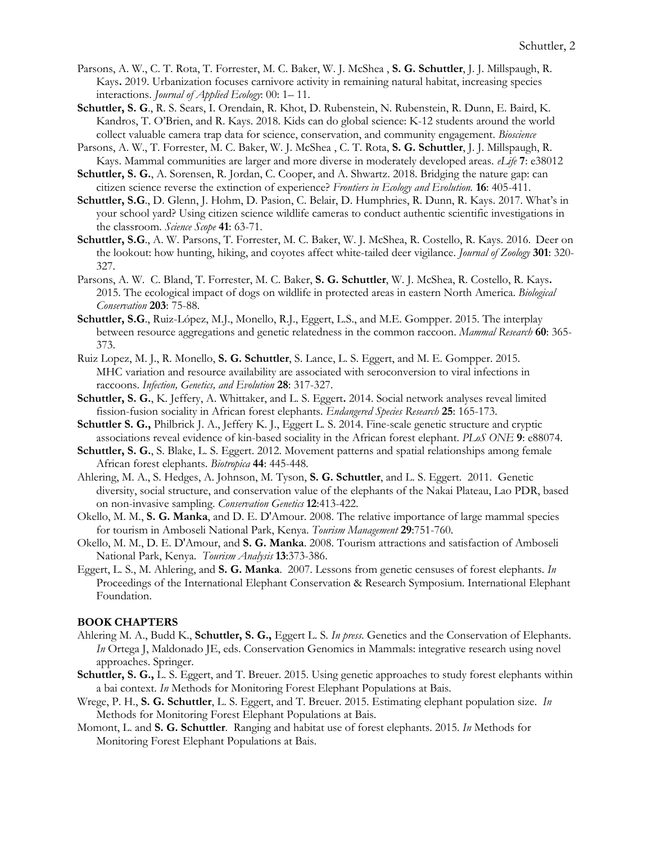- Parsons, A. W., C. T. Rota, T. Forrester, M. C. Baker, W. J. McShea , **S. G. Schuttler**, J. J. Millspaugh, R. Kays**.** 2019. Urbanization focuses carnivore activity in remaining natural habitat, increasing species interactions. *Journal of Applied Ecology*: 00: 1– 11.
- **Schuttler, S. G**., R. S. Sears, I. Orendain, R. Khot, D. Rubenstein, N. Rubenstein, R. Dunn, E. Baird, K. Kandros, T. O'Brien, and R. Kays. 2018. Kids can do global science: K-12 students around the world collect valuable camera trap data for science, conservation, and community engagement. *Bioscience*
- Parsons, A. W., T. Forrester, M. C. Baker, W. J. McShea , C. T. Rota, **S. G. Schuttler**, J. J. Millspaugh, R. Kays. Mammal communities are larger and more diverse in moderately developed areas. *eLife* **7**: e38012
- **Schuttler, S. G.**, A. Sorensen, R. Jordan, C. Cooper, and A. Shwartz. 2018. Bridging the nature gap: can citizen science reverse the extinction of experience? *Frontiers in Ecology and Evolution.* **16**: 405-411.
- **Schuttler, S.G**., D. Glenn, J. Hohm, D. Pasion, C. Belair, D. Humphries, R. Dunn, R. Kays. 2017. What's in your school yard? Using citizen science wildlife cameras to conduct authentic scientific investigations in the classroom. *Science Scope* **41**: 63-71.
- **Schuttler, S.G**., A. W. Parsons, T. Forrester, M. C. Baker, W. J. McShea, R. Costello, R. Kays. 2016. Deer on the lookout: how hunting, hiking, and coyotes affect white-tailed deer vigilance. *Journal of Zoology* **301**: 320- 327.
- Parsons, A. W. C. Bland, T. Forrester, M. C. Baker, **S. G. Schuttler**, W. J. McShea, R. Costello, R. Kays**.**  2015. The ecological impact of dogs on wildlife in protected areas in eastern North America. *Biological Conservation* **203**: 75-88.
- **Schuttler, S.G**., Ruiz-López, M.J., Monello, R.J., Eggert, L.S., and M.E. Gompper. 2015. The interplay between resource aggregations and genetic relatedness in the common raccoon. *Mammal Research* **60**: 365- 373.
- Ruiz Lopez, M. J., R. Monello, **S. G. Schuttler**, S. Lance, L. S. Eggert, and M. E. Gompper. 2015. MHC variation and resource availability are associated with seroconversion to viral infections in raccoons. *Infection, Genetics, and Evolution* **28**: 317-327.
- **Schuttler, S. G.**, K. Jeffery, A. Whittaker, and L. S. Eggert**.** 2014. Social network analyses reveal limited fission-fusion sociality in African forest elephants. *Endangered Species Research* **25**: 165-173.
- **Schuttler S. G.,** Philbrick J. A., Jeffery K. J., Eggert L. S. 2014. Fine-scale genetic structure and cryptic associations reveal evidence of kin-based sociality in the African forest elephant. *PLoS ONE* **9**: e88074.
- **Schuttler, S. G.**, S. Blake, L. S. Eggert. 2012. Movement patterns and spatial relationships among female African forest elephants. *Biotropica* **44**: 445-448*.*
- Ahlering, M. A., S. Hedges, A. Johnson, M. Tyson, **S. G. Schuttler**, and L. S. Eggert. 2011. Genetic diversity, social structure, and conservation value of the elephants of the Nakai Plateau, Lao PDR, based on non-invasive sampling. *Conservation Genetics* **12**:413-422.
- Okello, M. M., **S. G. Manka**, and D. E. D'Amour. 2008. The relative importance of large mammal species for tourism in Amboseli National Park, Kenya. *Tourism Management* **29**:751-760.
- Okello, M. M., D. E. D'Amour, and **S. G. Manka**. 2008. Tourism attractions and satisfaction of Amboseli National Park, Kenya. *Tourism Analysis* **13**:373-386.
- Eggert, L. S., M. Ahlering, and **S. G. Manka**. 2007. Lessons from genetic censuses of forest elephants. *In*  Proceedings of the International Elephant Conservation & Research Symposium. International Elephant Foundation.

#### **BOOK CHAPTERS**

- Ahlering M. A., Budd K., **Schuttler, S. G.,** Eggert L. S. *In press*. Genetics and the Conservation of Elephants. *In* Ortega J, Maldonado JE, eds. Conservation Genomics in Mammals: integrative research using novel approaches. Springer.
- **Schuttler, S. G.,** L. S. Eggert, and T. Breuer. 2015. Using genetic approaches to study forest elephants within a bai context. *In* Methods for Monitoring Forest Elephant Populations at Bais.
- Wrege, P. H., **S. G. Schuttler**, L. S. Eggert, and T. Breuer. 2015. Estimating elephant population size. *In* Methods for Monitoring Forest Elephant Populations at Bais.
- Momont, L. and **S. G. Schuttler**. Ranging and habitat use of forest elephants. 2015. *In* Methods for Monitoring Forest Elephant Populations at Bais.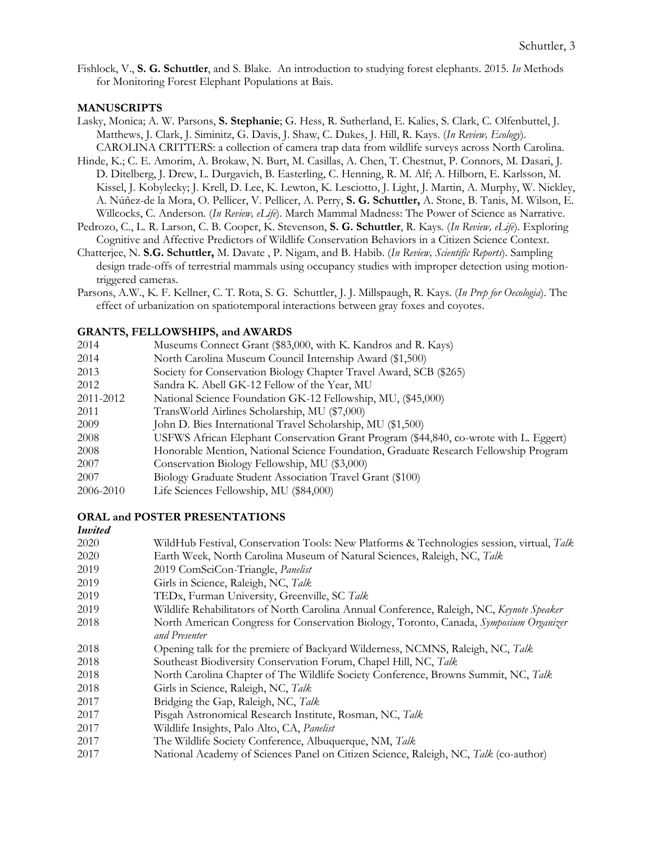Fishlock, V., **S. G. Schuttler**, and S. Blake. An introduction to studying forest elephants. 2015. *In* Methods for Monitoring Forest Elephant Populations at Bais.

## **MANUSCRIPTS**

- Lasky, Monica; A. W. Parsons, **S. Stephanie**; G. Hess, R. Sutherland, E. Kalies, S. Clark, C. Olfenbuttel, J. Matthews, J. Clark, J. Siminitz, G. Davis, J. Shaw, C. Dukes, J. Hill, R. Kays. (*In Review, Ecology*). CAROLINA CRITTERS: a collection of camera trap data from wildlife surveys across North Carolina.
- Hinde, K.; C. E. Amorim, A. Brokaw, N. Burt, M. Casillas, A. Chen, T. Chestnut, P. Connors, M. Dasari, J. D. Ditelberg, J. Drew, L. Durgavich, B. Easterling, C. Henning, R. M. Alf; A. Hilborn, E. Karlsson, M. Kissel, J. Kobylecky; J. Krell, D. Lee, K. Lewton, K. Lesciotto, J. Light, J. Martin, A. Murphy, W. Nickley, A. Núñez-de la Mora, O. Pellicer, V. Pellicer, A. Perry, **S. G. Schuttler,** A. Stone, B. Tanis, M. Wilson, E. Willcocks, C. Anderson. (*In Review, eLife*). March Mammal Madness: The Power of Science as Narrative.
- Pedrozo, C., L. R. Larson, C. B. Cooper, K. Stevenson, **S. G. Schuttler**, R. Kays. (*In Review, eLife*). Exploring Cognitive and Affective Predictors of Wildlife Conservation Behaviors in a Citizen Science Context.
- Chatterjee, N. **S.G. Schuttler,** M. Davate , P. Nigam, and B. Habib. (*In Review, Scientific Reports*). Sampling design trade-offs of terrestrial mammals using occupancy studies with improper detection using motiontriggered cameras.
- Parsons, A.W., K. F. Kellner, C. T. Rota, S. G. Schuttler, J. J. Millspaugh, R. Kays. (*In Prep for Oecologia*). The effect of urbanization on spatiotemporal interactions between gray foxes and coyotes.

## **GRANTS, FELLOWSHIPS, and AWARDS**

| 2014      | Museums Connect Grant (\$83,000, with K. Kandros and R. Kays)                         |
|-----------|---------------------------------------------------------------------------------------|
| 2014      | North Carolina Museum Council Internship Award (\$1,500)                              |
| 2013      | Society for Conservation Biology Chapter Travel Award, SCB (\$265)                    |
| 2012      | Sandra K. Abell GK-12 Fellow of the Year, MU                                          |
| 2011-2012 | National Science Foundation GK-12 Fellowship, MU, (\$45,000)                          |
| 2011      | TransWorld Airlines Scholarship, MU (\$7,000)                                         |
| 2009      | John D. Bies International Travel Scholarship, MU (\$1,500)                           |
| 2008      | USFWS African Elephant Conservation Grant Program (\$44,840, co-wrote with L. Eggert) |
| 2008      | Honorable Mention, National Science Foundation, Graduate Research Fellowship Program  |
| 2007      | Conservation Biology Fellowship, MU (\$3,000)                                         |
| 2007      | Biology Graduate Student Association Travel Grant (\$100)                             |
| 2006-2010 | Life Sciences Fellowship, MU (\$84,000)                                               |

#### **ORAL and POSTER PRESENTATIONS**

#### *Invited*

| 2020 | WildHub Festival, Conservation Tools: New Platforms & Technologies session, virtual, Talk |
|------|-------------------------------------------------------------------------------------------|
| 2020 | Earth Week, North Carolina Museum of Natural Sciences, Raleigh, NC, Talk                  |
| 2019 | 2019 ComSciCon-Triangle, Panelist                                                         |
| 2019 | Girls in Science, Raleigh, NC, Talk                                                       |
| 2019 | TEDx, Furman University, Greenville, SC Talk                                              |
| 2019 | Wildlife Rehabilitators of North Carolina Annual Conference, Raleigh, NC, Keynote Speaker |
| 2018 | North American Congress for Conservation Biology, Toronto, Canada, Symposium Organizer    |
|      | and Presenter                                                                             |
| 2018 | Opening talk for the premiere of Backyard Wilderness, NCMNS, Raleigh, NC, Talk            |
| 2018 | Southeast Biodiversity Conservation Forum, Chapel Hill, NC, Talk                          |
| 2018 | North Carolina Chapter of The Wildlife Society Conference, Browns Summit, NC, Talk        |
| 2018 | Girls in Science, Raleigh, NC, Talk                                                       |
| 2017 | Bridging the Gap, Raleigh, NC, Talk                                                       |
| 2017 | Pisgah Astronomical Research Institute, Rosman, NC, Talk                                  |
| 2017 | Wildlife Insights, Palo Alto, CA, Panelist                                                |
| 2017 | The Wildlife Society Conference, Albuquerque, NM, Talk                                    |
| 2017 | National Academy of Sciences Panel on Citizen Science, Raleigh, NC, Talk (co-author)      |
|      |                                                                                           |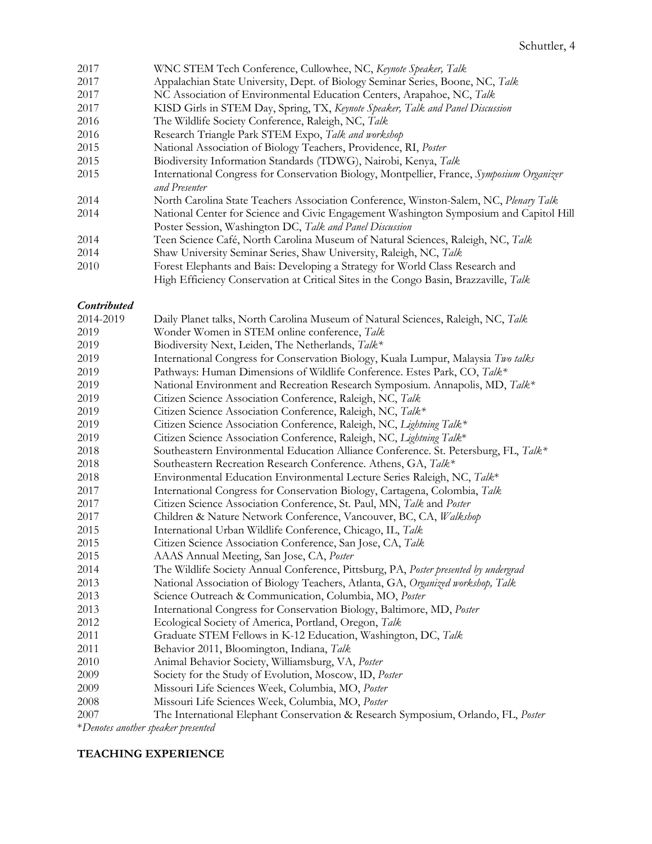- 2017 WNC STEM Tech Conference, Cullowhee, NC, *Keynote Speaker, Talk* 2017 Appalachian State University, Dept. of Biology Seminar Series, Boone, NC, *Talk* 2017 NC Association of Environmental Education Centers, Arapahoe, NC, *Talk* 2017 KISD Girls in STEM Day, Spring, TX, *Keynote Speaker, Talk and Panel Discussion* 2016 The Wildlife Society Conference, Raleigh, NC, *Talk*  2016 Research Triangle Park STEM Expo, *Talk and workshop* 2015 National Association of Biology Teachers, Providence, RI, *Poster* 2015 Biodiversity Information Standards (TDWG), Nairobi, Kenya, *Talk* 2015 International Congress for Conservation Biology, Montpellier, France, *Symposium Organizer and Presenter* 2014 North Carolina State Teachers Association Conference, Winston-Salem, NC, *Plenary Talk* 2014 National Center for Science and Civic Engagement Washington Symposium and Capitol Hill Poster Session, Washington DC, *Talk and Panel Discussion* 2014 Teen Science Café, North Carolina Museum of Natural Sciences, Raleigh, NC, *Talk* 2014 Shaw University Seminar Series, Shaw University, Raleigh, NC, *Talk*
- 2010 Forest Elephants and Bais: Developing a Strategy for World Class Research and

## High Efficiency Conservation at Critical Sites in the Congo Basin, Brazzaville, *Talk*

#### *Contributed*

| 2014-2019                          | Daily Planet talks, North Carolina Museum of Natural Sciences, Raleigh, NC, Talk     |
|------------------------------------|--------------------------------------------------------------------------------------|
| 2019                               | Wonder Women in STEM online conference, Talk                                         |
| 2019                               | Biodiversity Next, Leiden, The Netherlands, Talk*                                    |
| 2019                               | International Congress for Conservation Biology, Kuala Lumpur, Malaysia Two talks    |
| 2019                               | Pathways: Human Dimensions of Wildlife Conference. Estes Park, CO, Talk*             |
| 2019                               | National Environment and Recreation Research Symposium. Annapolis, MD, Talk*         |
| 2019                               | Citizen Science Association Conference, Raleigh, NC, Talk                            |
| 2019                               | Citizen Science Association Conference, Raleigh, NC, Talk*                           |
| 2019                               | Citizen Science Association Conference, Raleigh, NC, Lightning Talk*                 |
| 2019                               | Citizen Science Association Conference, Raleigh, NC, Lightning Talk*                 |
| 2018                               | Southeastern Environmental Education Alliance Conference. St. Petersburg, FL, Talk*  |
| 2018                               | Southeastern Recreation Research Conference. Athens, GA, Talk*                       |
| 2018                               | Environmental Education Environmental Lecture Series Raleigh, NC, Talk*              |
| 2017                               | International Congress for Conservation Biology, Cartagena, Colombia, Talk           |
| 2017                               | Citizen Science Association Conference, St. Paul, MN, Talk and Poster                |
| 2017                               | Children & Nature Network Conference, Vancouver, BC, CA, Walkshop                    |
| 2015                               | International Urban Wildlife Conference, Chicago, IL, Talk                           |
| 2015                               | Citizen Science Association Conference, San Jose, CA, Talk                           |
| 2015                               | AAAS Annual Meeting, San Jose, CA, Poster                                            |
| 2014                               | The Wildlife Society Annual Conference, Pittsburg, PA, Poster presented by undergrad |
| 2013                               | National Association of Biology Teachers, Atlanta, GA, Organized workshop, Talk      |
| 2013                               | Science Outreach & Communication, Columbia, MO, Poster                               |
| 2013                               | International Congress for Conservation Biology, Baltimore, MD, Poster               |
| 2012                               | Ecological Society of America, Portland, Oregon, Talk                                |
| 2011                               | Graduate STEM Fellows in K-12 Education, Washington, DC, Talk                        |
| 2011                               | Behavior 2011, Bloomington, Indiana, Talk                                            |
| 2010                               | Animal Behavior Society, Williamsburg, VA, Poster                                    |
| 2009                               | Society for the Study of Evolution, Moscow, ID, Poster                               |
| 2009                               | Missouri Life Sciences Week, Columbia, MO, Poster                                    |
| 2008                               | Missouri Life Sciences Week, Columbia, MO, Poster                                    |
| 2007                               | The International Elephant Conservation & Research Symposium, Orlando, FL, Poster    |
| *Denotes another speaker presented |                                                                                      |

#### **TEACHING EXPERIENCE**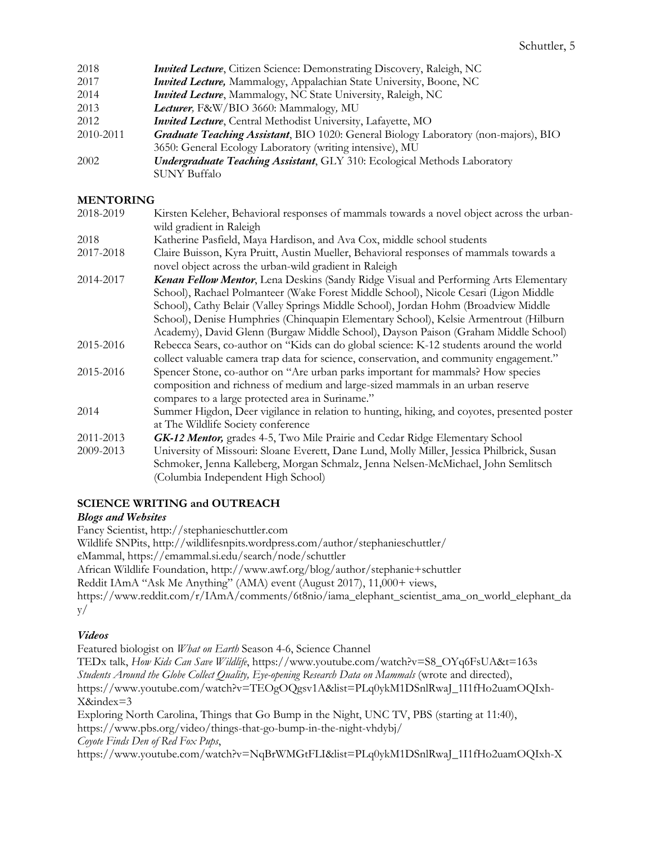| 2018      | <i>Invited Lecture</i> , Citizen Science: Demonstrating Discovery, Raleigh, NC      |
|-----------|-------------------------------------------------------------------------------------|
| 2017      | <b>Invited Lecture,</b> Mammalogy, Appalachian State University, Boone, NC          |
| 2014      | <b>Invited Lecture</b> , Mammalogy, NC State University, Raleigh, NC                |
| 2013      | Lecturer, F&W/BIO 3660: Mammalogy, MU                                               |
| 2012      | Invited Lecture, Central Methodist University, Lafayette, MO                        |
| 2010-2011 | Graduate Teaching Assistant, BIO 1020: General Biology Laboratory (non-majors), BIO |
|           | 3650: General Ecology Laboratory (writing intensive), MU                            |
| 2002      | <b>Undergraduate Teaching Assistant, GLY 310: Ecological Methods Laboratory</b>     |
|           | SUNY Buffalo                                                                        |

## **MENTORING**

| 2018-2019 | Kirsten Keleher, Behavioral responses of mammals towards a novel object across the urban-                                                        |
|-----------|--------------------------------------------------------------------------------------------------------------------------------------------------|
|           | wild gradient in Raleigh                                                                                                                         |
| 2018      | Katherine Pasfield, Maya Hardison, and Ava Cox, middle school students                                                                           |
| 2017-2018 | Claire Buisson, Kyra Pruitt, Austin Mueller, Behavioral responses of mammals towards a<br>novel object across the urban-wild gradient in Raleigh |
| 2014-2017 | Kenan Fellow Mentor, Lena Deskins (Sandy Ridge Visual and Performing Arts Elementary                                                             |
|           | School), Rachael Polmanteer (Wake Forest Middle School), Nicole Cesari (Ligon Middle                                                             |
|           | School), Cathy Belair (Valley Springs Middle School), Jordan Hohm (Broadview Middle                                                              |
|           | School), Denise Humphries (Chinquapin Elementary School), Kelsie Armentrout (Hilburn                                                             |
|           | Academy), David Glenn (Burgaw Middle School), Dayson Paison (Graham Middle School)                                                               |
| 2015-2016 | Rebecca Sears, co-author on "Kids can do global science: K-12 students around the world                                                          |
|           | collect valuable camera trap data for science, conservation, and community engagement."                                                          |
| 2015-2016 | Spencer Stone, co-author on "Are urban parks important for mammals? How species                                                                  |
|           | composition and richness of medium and large-sized mammals in an urban reserve                                                                   |
|           | compares to a large protected area in Suriname."                                                                                                 |
| 2014      | Summer Higdon, Deer vigilance in relation to hunting, hiking, and coyotes, presented poster                                                      |
|           | at The Wildlife Society conference                                                                                                               |
| 2011-2013 | GK-12 Mentor, grades 4-5, Two Mile Prairie and Cedar Ridge Elementary School                                                                     |
| 2009-2013 | University of Missouri: Sloane Everett, Dane Lund, Molly Miller, Jessica Philbrick, Susan                                                        |
|           | Schmoker, Jenna Kalleberg, Morgan Schmalz, Jenna Nelsen-McMichael, John Semlitsch                                                                |
|           | (Columbia Independent High School)                                                                                                               |
|           |                                                                                                                                                  |

# **SCIENCE WRITING and OUTREACH**

## *Blogs and Websites*

Fancy Scientist, http://stephanieschuttler.com Wildlife SNPits, http://wildlifesnpits.wordpress.com/author/stephanieschuttler/ eMammal, https://emammal.si.edu/search/node/schuttler African Wildlife Foundation, http://www.awf.org/blog/author/stephanie+schuttler

Reddit IAmA "Ask Me Anything" (AMA) event (August 2017), 11,000+ views, https://www.reddit.com/r/IAmA/comments/6t8nio/iama\_elephant\_scientist\_ama\_on\_world\_elephant\_da y/

## *Videos*

Featured biologist on *What on Earth* Season 4-6, Science Channel TEDx talk, *How Kids Can Save Wildlife*, https://www.youtube.com/watch?v=S8\_OYq6FsUA&t=163s *Students Around the Globe Collect Quality, Eye-opening Research Data on Mammals* (wrote and directed), https://www.youtube.com/watch?v=TEOgOQgsv1A&list=PLq0ykM1DSnlRwaJ\_1I1fHo2uamOQIxh-X&index=3 Exploring North Carolina, Things that Go Bump in the Night, UNC TV, PBS (starting at 11:40), https://www.pbs.org/video/things-that-go-bump-in-the-night-vhdybj/

*Coyote Finds Den of Red Fox Pups*,

https://www.youtube.com/watch?v=NqBrWMGtFLI&list=PLq0ykM1DSnlRwaJ\_1I1fHo2uamOQIxh-X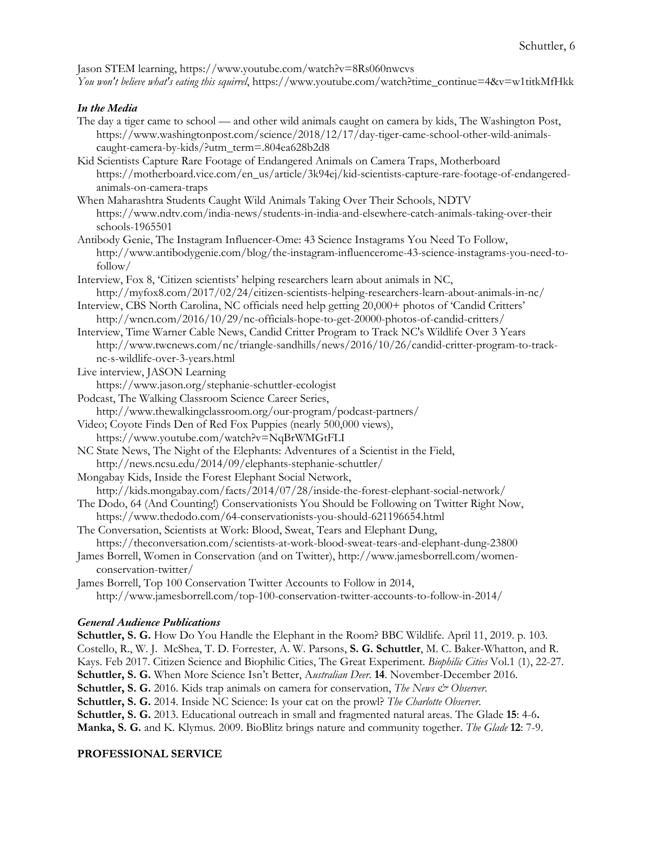Jason STEM learning, https://www.youtube.com/watch?v=8Rs060nwcvs *You won't believe what's eating this squirrel*, https://www.youtube.com/watch?time\_continue=4&v=w1titkMfHkk

## *In the Media*

- The day a tiger came to school and other wild animals caught on camera by kids, The Washington Post, https://www.washingtonpost.com/science/2018/12/17/day-tiger-came-school-other-wild-animalscaught-camera-by-kids/?utm\_term=.804ea628b2d8
- Kid Scientists Capture Rare Footage of Endangered Animals on Camera Traps, Motherboard https://motherboard.vice.com/en\_us/article/3k94ej/kid-scientists-capture-rare-footage-of-endangeredanimals-on-camera-traps
- When Maharashtra Students Caught Wild Animals Taking Over Their Schools, NDTV https://www.ndtv.com/india-news/students-in-india-and-elsewhere-catch-animals-taking-over-their schools-1965501
- Antibody Genie, The Instagram Influencer-Ome: 43 Science Instagrams You Need To Follow, http://www.antibodygenie.com/blog/the-instagram-influencerome-43-science-instagrams-you-need-tofollow/
- Interview, Fox 8, 'Citizen scientists' helping researchers learn about animals in NC, http://myfox8.com/2017/02/24/citizen-scientists-helping-researchers-learn-about-animals-in-nc/
- Interview, CBS North Carolina, NC officials need help getting 20,000+ photos of 'Candid Critters' http://wncn.com/2016/10/29/nc-officials-hope-to-get-20000-photos-of-candid-critters/
- Interview, Time Warner Cable News, Candid Critter Program to Track NC's Wildlife Over 3 Years http://www.twcnews.com/nc/triangle-sandhills/news/2016/10/26/candid-critter-program-to-tracknc-s-wildlife-over-3-years.html

Live interview, JASON Learning

https://www.jason.org/stephanie-schuttler-ecologist

- Podcast, The Walking Classroom Science Career Series,
	- http://www.thewalkingclassroom.org/our-program/podcast-partners/
- Video; Coyote Finds Den of Red Fox Puppies (nearly 500,000 views), https://www.youtube.com/watch?v=NqBrWMGtFLI
- NC State News, The Night of the Elephants: Adventures of a Scientist in the Field, http://news.ncsu.edu/2014/09/elephants-stephanie-schuttler/
- Mongabay Kids, Inside the Forest Elephant Social Network,

```
http://kids.mongabay.com/facts/2014/07/28/inside-the-forest-elephant-social-network/
```
- The Dodo, 64 (And Counting!) Conservationists You Should be Following on Twitter Right Now, https://www.thedodo.com/64-conservationists-you-should-621196654.html
- The Conversation, Scientists at Work: Blood, Sweat, Tears and Elephant Dung, https://theconversation.com/scientists-at-work-blood-sweat-tears-and-elephant-dung-23800
- James Borrell, Women in Conservation (and on Twitter), http://www.jamesborrell.com/womenconservation-twitter/

James Borrell, Top 100 Conservation Twitter Accounts to Follow in 2014, http://www.jamesborrell.com/top-100-conservation-twitter-accounts-to-follow-in-2014/

## *General Audience Publications*

**Schuttler, S. G.** How Do You Handle the Elephant in the Room? BBC Wildlife*.* April 11, 2019. p. 103. Costello, R., W. J. McShea, T. D. Forrester, A. W. Parsons, **S. G. Schuttler**, M. C. Baker-Whatton, and R. Kays. Feb 2017. Citizen Science and Biophilic Cities, The Great Experiment. *Biophilic Cities* Vol.1 (1), 22-27. **Schuttler, S. G.** When More Science Isn't Better, A*ustralian Deer.* **14**. November-December 2016. **Schuttler, S. G.** 2016. Kids trap animals on camera for conservation, *The News & Observer*. **Schuttler, S. G.** 2014. Inside NC Science: Is your cat on the prowl? *The Charlotte Observer*. **Schuttler, S. G.** 2013. Educational outreach in small and fragmented natural areas. The Glade **15**: 4-6**. Manka, S. G.** and K. Klymus. 2009. BioBlitz brings nature and community together. *The Glade* **12**: 7-9.

# **PROFESSIONAL SERVICE**